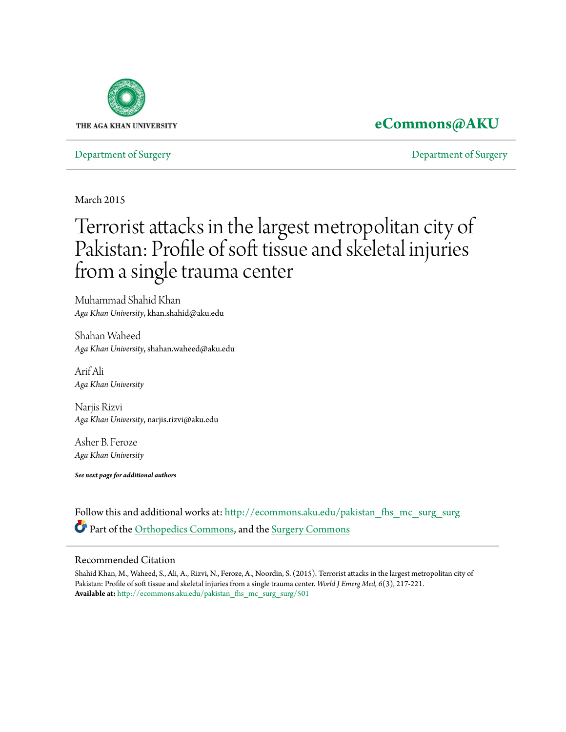

## **[eCommons@AKU](http://ecommons.aku.edu?utm_source=ecommons.aku.edu%2Fpakistan_fhs_mc_surg_surg%2F501&utm_medium=PDF&utm_campaign=PDFCoverPages)**

[Department of Surgery](http://ecommons.aku.edu/pakistan_fhs_mc_surg_surg?utm_source=ecommons.aku.edu%2Fpakistan_fhs_mc_surg_surg%2F501&utm_medium=PDF&utm_campaign=PDFCoverPages) [Department of Surgery](http://ecommons.aku.edu/pakistan_fhs_mc_surg?utm_source=ecommons.aku.edu%2Fpakistan_fhs_mc_surg_surg%2F501&utm_medium=PDF&utm_campaign=PDFCoverPages)

March 2015

# Terrorist attacks in the largest metropolitan city of Pakistan: Profile of soft tissue and skeletal injuries from a single trauma center

Muhammad Shahid Khan *Aga Khan University*, khan.shahid@aku.edu

Shahan Waheed *Aga Khan University*, shahan.waheed@aku.edu

Arif Ali *Aga Khan University*

Narjis Rizvi *Aga Khan University*, narjis.rizvi@aku.edu

Asher B. Feroze *Aga Khan University*

*See next page for additional authors*

Follow this and additional works at: [http://ecommons.aku.edu/pakistan\\_fhs\\_mc\\_surg\\_surg](http://ecommons.aku.edu/pakistan_fhs_mc_surg_surg?utm_source=ecommons.aku.edu%2Fpakistan_fhs_mc_surg_surg%2F501&utm_medium=PDF&utm_campaign=PDFCoverPages) Part of the [Orthopedics Commons](http://network.bepress.com/hgg/discipline/696?utm_source=ecommons.aku.edu%2Fpakistan_fhs_mc_surg_surg%2F501&utm_medium=PDF&utm_campaign=PDFCoverPages), and the [Surgery Commons](http://network.bepress.com/hgg/discipline/706?utm_source=ecommons.aku.edu%2Fpakistan_fhs_mc_surg_surg%2F501&utm_medium=PDF&utm_campaign=PDFCoverPages)

#### Recommended Citation

Shahid Khan, M., Waheed, S., Ali, A., Rizvi, N., Feroze, A., Noordin, S. (2015). Terrorist attacks in the largest metropolitan city of Pakistan: Profile of soft tissue and skeletal injuries from a single trauma center. *World J Emerg Med, 6*(3), 217-221. **Available at:** [http://ecommons.aku.edu/pakistan\\_fhs\\_mc\\_surg\\_surg/501](http://ecommons.aku.edu/pakistan_fhs_mc_surg_surg/501)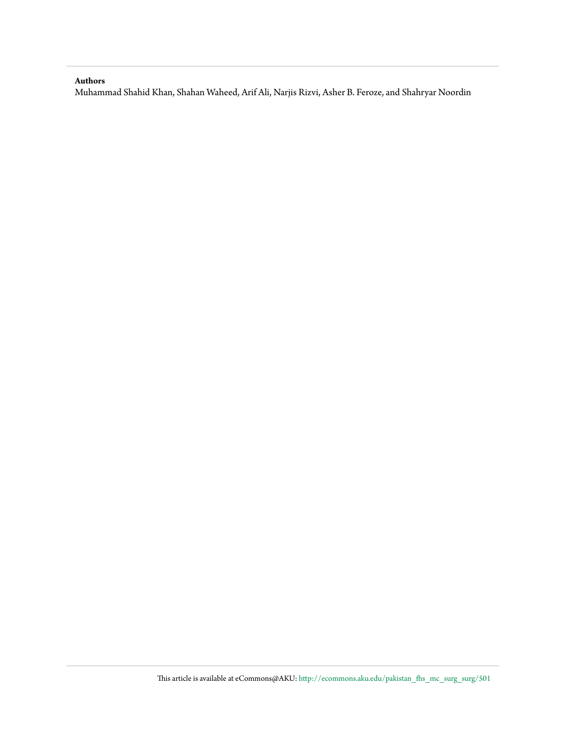#### **Authors**

Muhammad Shahid Khan, Shahan Waheed, Arif Ali, Narjis Rizvi, Asher B. Feroze, and Shahryar Noordin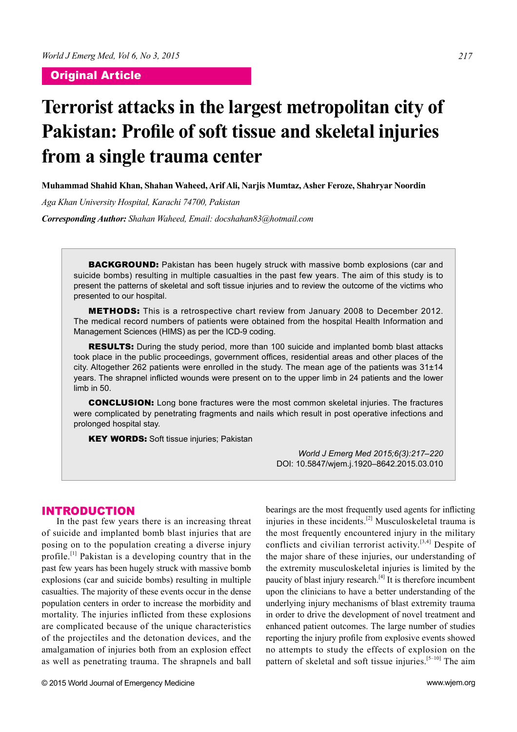### Original Article

# **Terrorist attacks in the largest metropolitan city of**  Pakistan: Profile of soft tissue and skeletal injuries **from a single trauma center**

**Muhammad Shahid Khan, Shahan Waheed, Arif Ali, Narjis Mumtaz, Asher Feroze, Shahryar Noordin**

*Aga Khan University Hospital, Karachi 74700, Pakistan*

*Corresponding Author: Shahan Waheed, Email: docshahan83@hotmail.com*

**BACKGROUND:** Pakistan has been hugely struck with massive bomb explosions (car and suicide bombs) resulting in multiple casualties in the past few years. The aim of this study is to present the patterns of skeletal and soft tissue injuries and to review the outcome of the victims who presented to our hospital.

METHODS: This is a retrospective chart review from January 2008 to December 2012. The medical record numbers of patients were obtained from the hospital Health Information and Management Sciences (HIMS) as per the ICD-9 coding.

RESULTS: During the study period, more than 100 suicide and implanted bomb blast attacks took place in the public proceedings, government offices, residential areas and other places of the city. Altogether 262 patients were enrolled in the study. The mean age of the patients was  $31\pm14$ years. The shrapnel inflicted wounds were present on to the upper limb in 24 patients and the lower limb in 50.

CONCLUSION: Long bone fractures were the most common skeletal injuries. The fractures were complicated by penetrating fragments and nails which result in post operative infections and prolonged hospital stay.

**KEY WORDS:** Soft tissue injuries; Pakistan

*World J Emerg Med 2015;6(3):217–220* DOI: 10.5847/wjem.j.1920–8642.2015.03.010

#### INTRODUCTION

In the past few years there is an increasing threat of suicide and implanted bomb blast injuries that are posing on to the population creating a diverse injury profile.[1] Pakistan is a developing country that in the past few years has been hugely struck with massive bomb explosions (car and suicide bombs) resulting in multiple casualties. The majority of these events occur in the dense population centers in order to increase the morbidity and mortality. The injuries inflicted from these explosions are complicated because of the unique characteristics of the projectiles and the detonation devices, and the amalgamation of injuries both from an explosion effect as well as penetrating trauma. The shrapnels and ball

bearings are the most frequently used agents for inflicting injuries in these incidents.[2] Musculoskeletal trauma is the most frequently encountered injury in the military conflicts and civilian terrorist activity.[3,4] Despite of the major share of these injuries, our understanding of the extremity musculoskeletal injuries is limited by the paucity of blast injury research.[4] It is therefore incumbent upon the clinicians to have a better understanding of the underlying injury mechanisms of blast extremity trauma in order to drive the development of novel treatment and enhanced patient outcomes. The large number of studies reporting the injury profile from explosive events showed no attempts to study the effects of explosion on the pattern of skeletal and soft tissue injuries.<sup>[5–10]</sup> The aim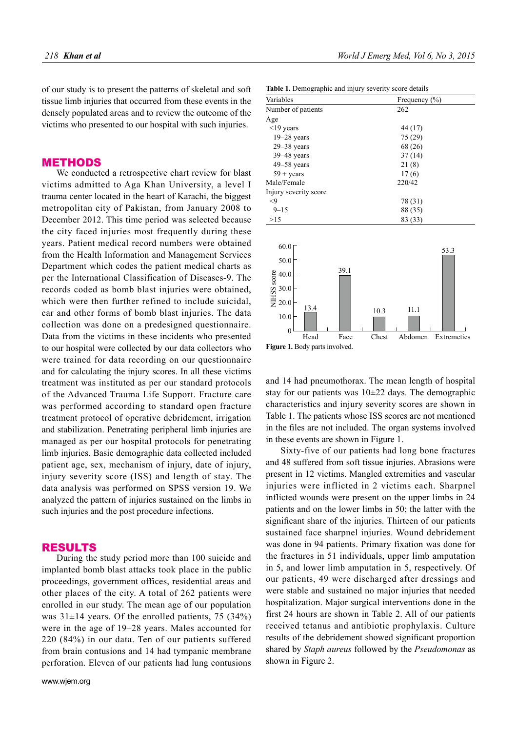of our study is to present the patterns of skeletal and soft tissue limb injuries that occurred from these events in the densely populated areas and to review the outcome of the victims who presented to our hospital with such injuries.

#### METHODS

We conducted a retrospective chart review for blast victims admitted to Aga Khan University, a level I trauma center located in the heart of Karachi, the biggest metropolitan city of Pakistan, from January 2008 to December 2012. This time period was selected because the city faced injuries most frequently during these years. Patient medical record numbers were obtained from the Health Information and Management Services Department which codes the patient medical charts as per the International Classification of Diseases-9. The records coded as bomb blast injuries were obtained, which were then further refined to include suicidal, car and other forms of bomb blast injuries. The data collection was done on a predesigned questionnaire. Data from the victims in these incidents who presented to our hospital were collected by our data collectors who were trained for data recording on our questionnaire and for calculating the injury scores. In all these victims treatment was instituted as per our standard protocols of the Advanced Trauma Life Support. Fracture care was performed according to standard open fracture treatment protocol of operative debridement, irrigation and stabilization. Penetrating peripheral limb injuries are managed as per our hospital protocols for penetrating limb injuries. Basic demographic data collected included patient age, sex, mechanism of injury, date of injury, injury severity score (ISS) and length of stay. The data analysis was performed on SPSS version 19. We analyzed the pattern of injuries sustained on the limbs in such injuries and the post procedure infections.

### RESULTS

During the study period more than 100 suicide and implanted bomb blast attacks took place in the public proceedings, government offices, residential areas and other places of the city. A total of 262 patients were enrolled in our study. The mean age of our population was  $31\pm14$  years. Of the enrolled patients, 75 (34%) were in the age of 19–28 years. Males accounted for 220 (84%) in our data. Ten of our patients suffered from brain contusions and 14 had tympanic membrane perforation. Eleven of our patients had lung contusions

| <b>Table 1.</b> Demographic and injury severity score details |                   |  |
|---------------------------------------------------------------|-------------------|--|
| Variables                                                     | Frequency $(\% )$ |  |
| Number of patients                                            | 262               |  |
| Age                                                           |                   |  |
| $\leq$ 19 years                                               | 44 (17)           |  |
| $19 - 28$ years                                               | 75 (29)           |  |
| $29 - 38$ years                                               | 68 (26)           |  |
| $39 - 48$ years                                               | 37(14)            |  |
| $49 - 58$ years                                               | 21(8)             |  |
| $59 + \text{years}$                                           | 17(6)             |  |
| Male/Female                                                   | 220/42            |  |
| Injury severity score                                         |                   |  |
| $<$ 9                                                         | 78 (31)           |  |
| $9 - 15$                                                      | 88 (35)           |  |
| >15                                                           | 83 (33)           |  |

60.0 50.0 40.0 30.0  $20.0$ 10.0  $\boldsymbol{0}$ NIHSS score **Figure 1.** Body parts involved. Head Face Chest Abdomen Extremeties 39.1 13.4 10.3 11.1 53.3

and 14 had pneumothorax. The mean length of hospital stay for our patients was  $10\pm 22$  days. The demographic characteristics and injury severity scores are shown in Table 1. The patients whose ISS scores are not mentioned in the files are not included. The organ systems involved in these events are shown in Figure 1.

Sixty-five of our patients had long bone fractures and 48 suffered from soft tissue injuries. Abrasions were present in 12 victims. Mangled extremities and vascular injuries were inflicted in 2 victims each. Sharpnel inflicted wounds were present on the upper limbs in 24 patients and on the lower limbs in 50; the latter with the significant share of the injuries. Thirteen of our patients sustained face sharpnel injuries. Wound debridement was done in 94 patients. Primary fixation was done for the fractures in 51 individuals, upper limb amputation in 5, and lower limb amputation in 5, respectively. Of our patients, 49 were discharged after dressings and were stable and sustained no major injuries that needed hospitalization. Major surgical interventions done in the first 24 hours are shown in Table 2. All of our patients received tetanus and antibiotic prophylaxis. Culture results of the debridement showed significant proportion shared by *Staph aureus* followed by the *Pseudomonas* as shown in Figure 2.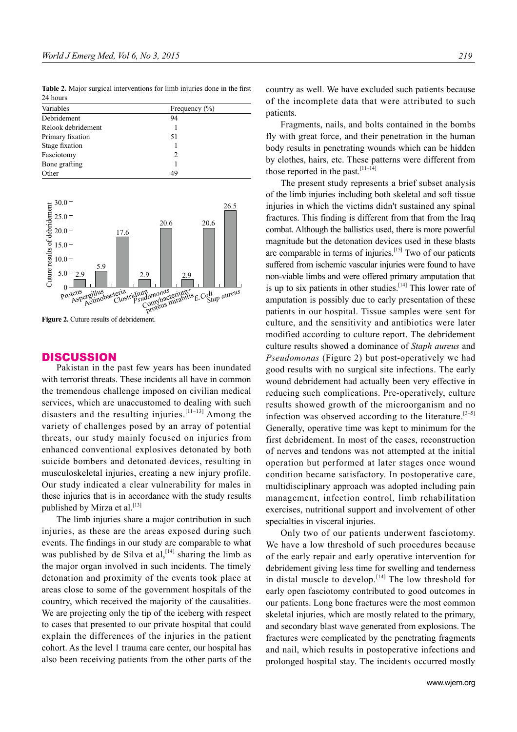Table 2. Major surgical interventions for limb injuries done in the first 24 hours

| Variables          | Frequency $(\% )$ |
|--------------------|-------------------|
| Debridement        | 94                |
| Relook debridement |                   |
| Primary fixation   | 51                |
| Stage fixation     |                   |
| Fasciotomy         | 2                 |
| Bone grafting      |                   |
| Other              | 49                |



**Figure 2.** Cuture results of debridement.

#### **DISCUSSION**

Pakistan in the past few years has been inundated with terrorist threats. These incidents all have in common the tremendous challenge imposed on civilian medical services, which are unaccustomed to dealing with such disasters and the resulting injuries.<sup>[11–13]</sup> Among the variety of challenges posed by an array of potential threats, our study mainly focused on injuries from enhanced conventional explosives detonated by both suicide bombers and detonated devices, resulting in musculoskeletal injuries, creating a new injury profile. Our study indicated a clear vulnerability for males in these injuries that is in accordance with the study results published by Mirza et al.<sup>[13]</sup>

The limb injuries share a major contribution in such injuries, as these are the areas exposed during such events. The findings in our study are comparable to what was published by de Silva et al,  $[14]$  sharing the limb as the major organ involved in such incidents. The timely detonation and proximity of the events took place at areas close to some of the government hospitals of the country, which received the majority of the causalities. We are projecting only the tip of the iceberg with respect to cases that presented to our private hospital that could explain the differences of the injuries in the patient cohort. As the level 1 trauma care center, our hospital has also been receiving patients from the other parts of the country as well. We have excluded such patients because of the incomplete data that were attributed to such patients.

Fragments, nails, and bolts contained in the bombs fly with great force, and their penetration in the human body results in penetrating wounds which can be hidden by clothes, hairs, etc. These patterns were different from those reported in the past.<sup>[11-14]</sup>

The present study represents a brief subset analysis of the limb injuries including both skeletal and soft tissue injuries in which the victims didn't sustained any spinal fractures. This finding is different from that from the Iraq combat. Although the ballistics used, there is more powerful magnitude but the detonation devices used in these blasts are comparable in terms of injuries.<sup>[15]</sup> Two of our patients suffered from ischemic vascular injuries were found to have non-viable limbs and were offered primary amputation that is up to six patients in other studies. $[14]$  This lower rate of amputation is possibly due to early presentation of these patients in our hospital. Tissue samples were sent for culture, and the sensitivity and antibiotics were later modified according to culture report. The debridement culture results showed a dominance of *Staph aureus* and *Pseudomonas* (Figure 2) but post-operatively we had good results with no surgical site infections. The early wound debridement had actually been very effective in reducing such complications. Pre-operatively, culture results showed growth of the microorganism and no infection was observed according to the literature.<sup>[3-5]</sup> Generally, operative time was kept to minimum for the first debridement. In most of the cases, reconstruction of nerves and tendons was not attempted at the initial operation but performed at later stages once wound condition became satisfactory. In postoperative care, multidisciplinary approach was adopted including pain management, infection control, limb rehabilitation exercises, nutritional support and involvement of other specialties in visceral injuries.

Only two of our patients underwent fasciotomy. We have a low threshold of such procedures because of the early repair and early operative intervention for debridement giving less time for swelling and tenderness in distal muscle to develop.<sup>[14]</sup> The low threshold for early open fasciotomy contributed to good outcomes in our patients. Long bone fractures were the most common skeletal injuries, which are mostly related to the primary, and secondary blast wave generated from explosions. The fractures were complicated by the penetrating fragments and nail, which results in postoperative infections and prolonged hospital stay. The incidents occurred mostly